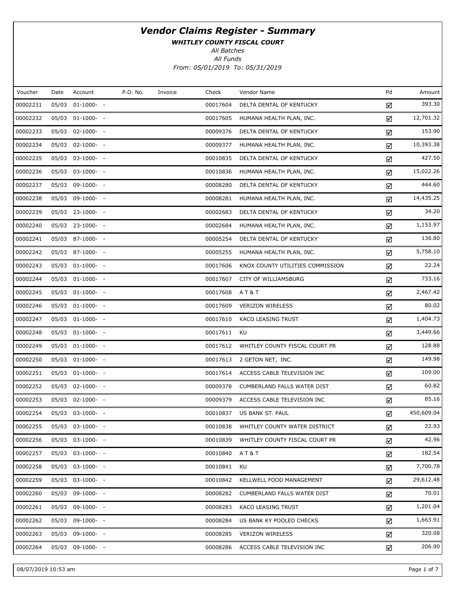WHITLEY COUNTY FISCAL COURT

All Batches

All Funds From: 05/01/2019 To: 05/31/2019

| Voucher  | Date | Account               | P.O. No. | Invoice | Check    | Vendor Name                        | Pd | Amount     |
|----------|------|-----------------------|----------|---------|----------|------------------------------------|----|------------|
| 00002231 |      | 05/03 01-1000- -      |          |         | 00017604 | DELTA DENTAL OF KENTUCKY           | ☑  | 393.30     |
| 00002232 |      | 05/03 01-1000- -      |          |         | 00017605 | HUMANA HEALTH PLAN, INC.           | ☑  | 12,701.32  |
| 00002233 |      | 05/03 02-1000- -      |          |         | 00009376 | DELTA DENTAL OF KENTUCKY           | ☑  | 153.90     |
| 00002234 |      | 05/03 02-1000- -      |          |         | 00009377 | HUMANA HEALTH PLAN, INC.           | ☑  | 10,393.38  |
| 00002235 |      | 05/03 03-1000- -      |          |         | 00010835 | DELTA DENTAL OF KENTUCKY           | ☑  | 427.50     |
| 00002236 |      | 05/03 03-1000- -      |          |         | 00010836 | HUMANA HEALTH PLAN, INC.           | ☑  | 15,022.26  |
| 00002237 |      | 05/03 09-1000- -      |          |         | 00008280 | DELTA DENTAL OF KENTUCKY           | ☑  | 444.60     |
| 00002238 |      | 05/03 09-1000- -      |          |         | 00008281 | HUMANA HEALTH PLAN, INC.           | ☑  | 14,435.25  |
| 00002239 |      | 05/03 23-1000- -      |          |         | 00002683 | DELTA DENTAL OF KENTUCKY           | ☑  | 34.20      |
| 00002240 |      | 05/03 23-1000- -      |          |         | 00002684 | HUMANA HEALTH PLAN, INC.           | ☑  | 1,153.97   |
| 00002241 |      | 05/03 87-1000- -      |          |         | 00005254 | DELTA DENTAL OF KENTUCKY           | ☑  | 136.80     |
| 00002242 |      | 05/03 87-1000- -      |          |         | 00005255 | HUMANA HEALTH PLAN, INC.           | ☑  | 5,758.10   |
| 00002243 |      | 05/03 01-1000- -      |          |         | 00017606 | KNOX COUNTY UTILITIES COMMISSION   | ☑  | 22.24      |
| 00002244 |      | 05/03 01-1000- -      |          |         | 00017607 | CITY OF WILLIAMSBURG               | ☑  | 733.16     |
| 00002245 |      | 05/03 01-1000- -      |          |         | 00017608 | AT&T                               | ☑  | 2,467.42   |
| 00002246 |      | 05/03 01-1000- -      |          |         | 00017609 | <b>VERIZON WIRELESS</b>            | ☑  | 80.02      |
| 00002247 |      | 05/03 01-1000- -      |          |         | 00017610 | KACO LEASING TRUST                 | ☑  | 1,404.73   |
| 00002248 |      | 05/03 01-1000- -      |          |         | 00017611 | KU                                 | ☑  | 3,449.66   |
| 00002249 |      | 05/03 01-1000- -      |          |         | 00017612 | WHITLEY COUNTY FISCAL COURT PR     | ☑  | 128.88     |
| 00002250 |      | 05/03 01-1000- -      |          |         | 00017613 | 2 GETON NET, INC.                  | ☑  | 149.98     |
| 00002251 |      | 05/03 01-1000- -      |          |         | 00017614 | ACCESS CABLE TELEVISION INC        | ☑  | 109.00     |
| 00002252 |      | 05/03 02-1000- -      |          |         | 00009378 | <b>CUMBERLAND FALLS WATER DIST</b> | ☑  | 60.82      |
| 00002253 |      | 05/03 02-1000- -      |          |         | 00009379 | ACCESS CABLE TELEVISION INC        | ☑  | 85.16      |
| 00002254 |      | 05/03 03-1000- -      |          |         | 00010837 | US BANK ST. PAUL                   | ☑  | 450,609.04 |
| 00002255 |      | 05/03 03-1000- -      |          |         | 00010838 | WHITLEY COUNTY WATER DISTRICT      | ☑  | 22.93      |
| 00002256 |      | 05/03 03-1000- -      |          |         | 00010839 | WHITLEY COUNTY FISCAL COURT PR     | ☑  | 42.96      |
| 00002257 |      | 05/03 03-1000- -      |          |         | 00010840 | A T & T                            | ☑  | 182.54     |
| 00002258 |      | 05/03 03-1000- -      |          |         | 00010841 | KU                                 | ☑  | 7,700.78   |
| 00002259 |      | $05/03$ $03-1000$ - - |          |         | 00010842 | KELLWELL FOOD MANAGEMENT           | ☑  | 29,612.48  |
| 00002260 |      | 05/03 09-1000- -      |          |         | 00008282 | <b>CUMBERLAND FALLS WATER DIST</b> | ☑  | 70.01      |
| 00002261 |      | 05/03 09-1000- -      |          |         | 00008283 | KACO LEASING TRUST                 | ☑  | 1,201.04   |
| 00002262 |      | 05/03 09-1000- -      |          |         | 00008284 | US BANK KY POOLED CHECKS           | ☑  | 1,663.91   |
| 00002263 |      | 05/03 09-1000- -      |          |         | 00008285 | <b>VERIZON WIRELESS</b>            | ☑  | 320.08     |
| 00002264 |      | 05/03 09-1000- -      |          |         | 00008286 | ACCESS CABLE TELEVISION INC        | ☑  | 206.90     |

08/07/2019 10:53 am Page 1 of 7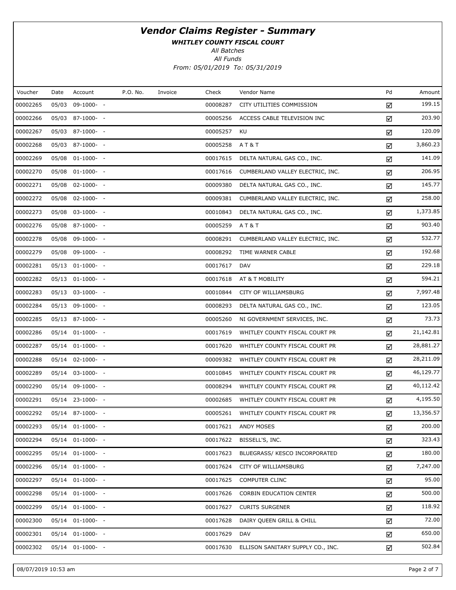WHITLEY COUNTY FISCAL COURT

All Batches

All Funds From: 05/01/2019 To: 05/31/2019

| Amount    | Pd | Vendor Name                       | Check    | Invoice | P.O. No. | Account          | Date  | Voucher  |
|-----------|----|-----------------------------------|----------|---------|----------|------------------|-------|----------|
| 199.15    | ☑  | CITY UTILITIES COMMISSION         | 00008287 |         |          | 09-1000- -       | 05/03 | 00002265 |
| 203.90    | ☑  | ACCESS CABLE TELEVISION INC       | 00005256 |         |          | 05/03 87-1000- - |       | 00002266 |
| 120.09    | ☑  | KU                                | 00005257 |         |          | 05/03 87-1000- - |       | 00002267 |
| 3,860.23  | ☑  | AT&T                              | 00005258 |         |          | 05/03 87-1000- - |       | 00002268 |
| 141.09    | ☑  | DELTA NATURAL GAS CO., INC.       | 00017615 |         |          | 05/08 01-1000- - |       | 00002269 |
| 206.95    | ☑  | CUMBERLAND VALLEY ELECTRIC, INC.  | 00017616 |         |          | 05/08 01-1000- - |       | 00002270 |
| 145.77    | ☑  | DELTA NATURAL GAS CO., INC.       | 00009380 |         |          | $02 - 1000 - -$  | 05/08 | 00002271 |
| 258.00    | ☑  | CUMBERLAND VALLEY ELECTRIC, INC.  | 00009381 |         |          | 05/08 02-1000- - |       | 00002272 |
| 1,373.85  | ☑  | DELTA NATURAL GAS CO., INC.       | 00010843 |         |          | 05/08 03-1000- - |       | 00002273 |
| 903.40    | ☑  | <b>AT&amp;T</b>                   | 00005259 |         |          | 05/08 87-1000- - |       | 00002276 |
| 532.77    | ☑  | CUMBERLAND VALLEY ELECTRIC, INC.  | 00008291 |         |          | 09-1000- -       | 05/08 | 00002278 |
| 192.68    | ☑  | TIME WARNER CABLE                 | 00008292 |         |          | 05/08 09-1000- - |       | 00002279 |
| 229.18    | ☑  | <b>DAV</b>                        | 00017617 |         |          | 05/13 01-1000- - |       | 00002281 |
| 594.21    | ☑  | AT & T MOBILITY                   | 00017618 |         |          | 05/13 01-1000- - |       | 00002282 |
| 7,997.48  | ☑  | CITY OF WILLIAMSBURG              | 00010844 |         |          | 05/13 03-1000- - |       | 00002283 |
| 123.05    | ☑  | DELTA NATURAL GAS CO., INC.       | 00008293 |         |          | 05/13 09-1000- - |       | 00002284 |
| 73.73     | ☑  | NI GOVERNMENT SERVICES, INC.      | 00005260 |         |          | 05/13 87-1000- - |       | 00002285 |
| 21,142.81 | ☑  | WHITLEY COUNTY FISCAL COURT PR    | 00017619 |         |          | 05/14 01-1000- - |       | 00002286 |
| 28,881.27 | ☑  | WHITLEY COUNTY FISCAL COURT PR    | 00017620 |         |          | 05/14 01-1000- - |       | 00002287 |
| 28,211.09 | ☑  | WHITLEY COUNTY FISCAL COURT PR    | 00009382 |         |          | 05/14 02-1000- - |       | 00002288 |
| 46,129.77 | ☑  | WHITLEY COUNTY FISCAL COURT PR    | 00010845 |         |          | 05/14 03-1000- - |       | 00002289 |
| 40,112.42 | ☑  | WHITLEY COUNTY FISCAL COURT PR    | 00008294 |         |          | 05/14 09-1000- - |       | 00002290 |
| 4,195.50  | ☑  | WHITLEY COUNTY FISCAL COURT PR    | 00002685 |         |          | 05/14 23-1000- - |       | 00002291 |
| 13,356.57 | ☑  | WHITLEY COUNTY FISCAL COURT PR    | 00005261 |         |          | 05/14 87-1000- - |       | 00002292 |
| 200.00    | ☑  | <b>ANDY MOSES</b>                 | 00017621 |         |          | 05/14 01-1000- - |       | 00002293 |
| 323.43    | ☑  | BISSELL'S, INC.                   | 00017622 |         |          | 05/14 01-1000- - |       | 00002294 |
| 180.00    | ☑  | BLUEGRASS/ KESCO INCORPORATED     | 00017623 |         |          | 05/14 01-1000- - |       | 00002295 |
| 7,247.00  | ☑  | CITY OF WILLIAMSBURG              | 00017624 |         |          | 05/14 01-1000- - |       | 00002296 |
| 95.00     | ☑  | <b>COMPUTER CLINC</b>             | 00017625 |         |          | 05/14 01-1000- - |       | 00002297 |
| 500.00    | ☑  | <b>CORBIN EDUCATION CENTER</b>    | 00017626 |         |          | 05/14 01-1000- - |       | 00002298 |
| 118.92    | ☑  | <b>CURITS SURGENER</b>            | 00017627 |         |          | 05/14 01-1000- - |       | 00002299 |
| 72.00     | ☑  | DAIRY QUEEN GRILL & CHILL         | 00017628 |         |          | 05/14 01-1000- - |       | 00002300 |
| 650.00    | ☑  | <b>DAV</b>                        | 00017629 |         |          | 05/14 01-1000- - |       | 00002301 |
| 502.84    | ☑  | ELLISON SANITARY SUPPLY CO., INC. | 00017630 |         |          | 05/14 01-1000- - |       | 00002302 |
|           |    |                                   |          |         |          |                  |       |          |

08/07/2019 10:53 am Page 2 of 7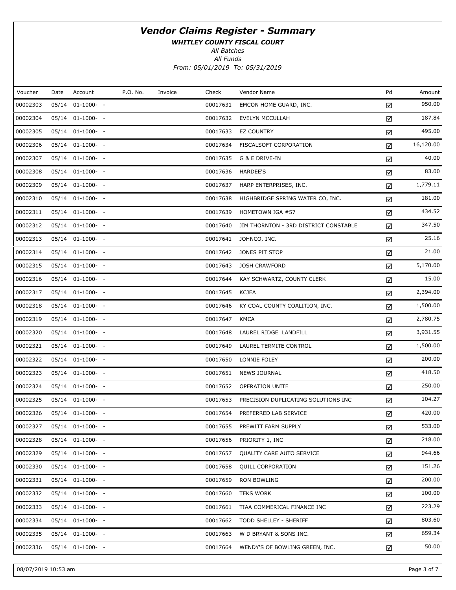WHITLEY COUNTY FISCAL COURT

All Batches

All Funds From: 05/01/2019 To: 05/31/2019

| Voucher  | Date | Account          | P.O. No. | Invoice | Check    | Vendor Name                           | Pd | Amount    |
|----------|------|------------------|----------|---------|----------|---------------------------------------|----|-----------|
| 00002303 |      | 05/14 01-1000- - |          |         | 00017631 | EMCON HOME GUARD, INC.                | ☑  | 950.00    |
| 00002304 |      | 05/14 01-1000- - |          |         | 00017632 | <b>EVELYN MCCULLAH</b>                | ☑  | 187.84    |
| 00002305 |      | 05/14 01-1000- - |          |         | 00017633 | <b>EZ COUNTRY</b>                     | ☑  | 495.00    |
| 00002306 |      | 05/14 01-1000- - |          |         | 00017634 | FISCALSOFT CORPORATION                | ☑  | 16,120.00 |
| 00002307 |      | 05/14 01-1000- - |          |         | 00017635 | G & E DRIVE-IN                        | ☑  | 40.00     |
| 00002308 |      | 05/14 01-1000- - |          |         | 00017636 | <b>HARDEE'S</b>                       | ☑  | 83.00     |
| 00002309 |      | 05/14 01-1000- - |          |         | 00017637 | HARP ENTERPRISES, INC.                | ☑  | 1,779.11  |
| 00002310 |      | 05/14 01-1000- - |          |         | 00017638 | HIGHBRIDGE SPRING WATER CO, INC.      | ☑  | 181.00    |
| 00002311 |      | 05/14 01-1000- - |          |         | 00017639 | HOMETOWN IGA #57                      | ☑  | 434.52    |
| 00002312 |      | 05/14 01-1000- - |          |         | 00017640 | JIM THORNTON - 3RD DISTRICT CONSTABLE | ☑  | 347.50    |
| 00002313 |      | 05/14 01-1000- - |          |         | 00017641 | JOHNCO, INC.                          | ☑  | 25.16     |
| 00002314 |      | 05/14 01-1000- - |          |         | 00017642 | JONES PIT STOP                        | ☑  | 21.00     |
| 00002315 |      | 05/14 01-1000- - |          |         | 00017643 | <b>JOSH CRAWFORD</b>                  | ☑  | 5,170.00  |
| 00002316 |      | 05/14 01-1000- - |          |         | 00017644 | KAY SCHWARTZ, COUNTY CLERK            | ☑  | 15.00     |
| 00002317 |      | 05/14 01-1000- - |          |         | 00017645 | <b>KCJEA</b>                          | ☑  | 2,394.00  |
| 00002318 |      | 05/14 01-1000- - |          |         | 00017646 | KY COAL COUNTY COALITION, INC.        | ☑  | 1,500.00  |
| 00002319 |      | 05/14 01-1000- - |          |         | 00017647 | <b>KMCA</b>                           | ☑  | 2,780.75  |
| 00002320 |      | 05/14 01-1000- - |          |         | 00017648 | LAUREL RIDGE LANDFILL                 | ☑  | 3,931.55  |
| 00002321 |      | 05/14 01-1000- - |          |         | 00017649 | LAUREL TERMITE CONTROL                | ☑  | 1,500.00  |
| 00002322 |      | 05/14 01-1000- - |          |         | 00017650 | LONNIE FOLEY                          | ☑  | 200.00    |
| 00002323 |      | 05/14 01-1000- - |          |         | 00017651 | NEWS JOURNAL                          | ☑  | 418.50    |
| 00002324 |      | 05/14 01-1000- - |          |         | 00017652 | OPERATION UNITE                       | ☑  | 250.00    |
| 00002325 |      | 05/14 01-1000- - |          |         | 00017653 | PRECISION DUPLICATING SOLUTIONS INC   | ☑  | 104.27    |
| 00002326 |      | 05/14 01-1000- - |          |         | 00017654 | PREFERRED LAB SERVICE                 | ☑  | 420.00    |
| 00002327 |      | 05/14 01-1000- - |          |         | 00017655 | PREWITT FARM SUPPLY                   | ☑  | 533.00    |
| 00002328 |      | 05/14 01-1000- - |          |         | 00017656 | PRIORITY 1, INC                       | ☑  | 218.00    |
| 00002329 |      | 05/14 01-1000- - |          |         | 00017657 | QUALITY CARE AUTO SERVICE             | ☑  | 944.66    |
| 00002330 |      | 05/14 01-1000- - |          |         | 00017658 | <b>QUILL CORPORATION</b>              | ☑  | 151.26    |
| 00002331 |      | 05/14 01-1000- - |          |         | 00017659 | <b>RON BOWLING</b>                    | ☑  | 200.00    |
| 00002332 |      | 05/14 01-1000- - |          |         | 00017660 | <b>TEKS WORK</b>                      | ☑  | 100.00    |
| 00002333 |      | 05/14 01-1000- - |          |         | 00017661 | TIAA COMMERICAL FINANCE INC           | ☑  | 223.29    |
| 00002334 |      | 05/14 01-1000- - |          |         | 00017662 | TODD SHELLEY - SHERIFF                | ☑  | 803.60    |
| 00002335 |      | 05/14 01-1000- - |          |         | 00017663 | W D BRYANT & SONS INC.                | ☑  | 659.34    |
| 00002336 |      | 05/14 01-1000- - |          |         | 00017664 | WENDY'S OF BOWLING GREEN, INC.        | ☑  | 50.00     |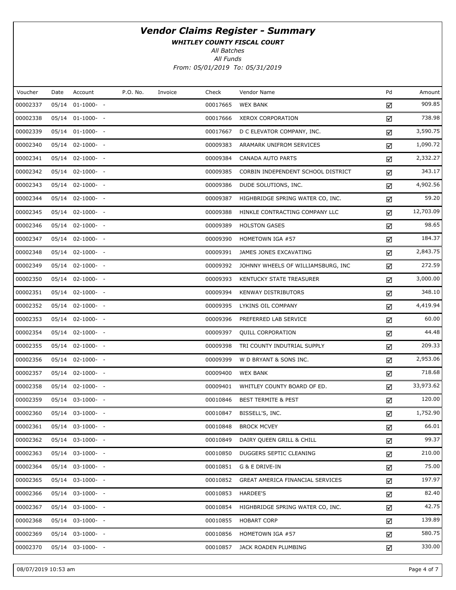WHITLEY COUNTY FISCAL COURT

All Batches

All Funds From: 05/01/2019 To: 05/31/2019

| Voucher  | Date | Account          | P.O. No. | Invoice | Check    | Vendor Name                        | Pd | Amount    |
|----------|------|------------------|----------|---------|----------|------------------------------------|----|-----------|
| 00002337 |      | 05/14 01-1000- - |          |         | 00017665 | <b>WEX BANK</b>                    | ☑  | 909.85    |
| 00002338 |      | 05/14 01-1000- - |          |         | 00017666 | XEROX CORPORATION                  | ☑  | 738.98    |
| 00002339 |      | 05/14 01-1000- - |          |         | 00017667 | D C ELEVATOR COMPANY, INC.         | ☑  | 3,590.75  |
| 00002340 |      | 05/14 02-1000- - |          |         | 00009383 | ARAMARK UNIFROM SERVICES           | ☑  | 1,090.72  |
| 00002341 |      | 05/14 02-1000- - |          |         | 00009384 | <b>CANADA AUTO PARTS</b>           | ☑  | 2,332.27  |
| 00002342 |      | 05/14 02-1000- - |          |         | 00009385 | CORBIN INDEPENDENT SCHOOL DISTRICT | ☑  | 343.17    |
| 00002343 |      | 05/14 02-1000- - |          |         | 00009386 | DUDE SOLUTIONS, INC.               | ☑  | 4,902.56  |
| 00002344 |      | 05/14 02-1000- - |          |         | 00009387 | HIGHBRIDGE SPRING WATER CO, INC.   | ☑  | 59.20     |
| 00002345 |      | 05/14 02-1000- - |          |         | 00009388 | HINKLE CONTRACTING COMPANY LLC     | ☑  | 12,703.09 |
| 00002346 |      | 05/14 02-1000- - |          |         | 00009389 | <b>HOLSTON GASES</b>               | ☑  | 98.65     |
| 00002347 |      | 05/14 02-1000- - |          |         | 00009390 | HOMETOWN IGA #57                   | ☑  | 184.37    |
| 00002348 |      | 05/14 02-1000- - |          |         | 00009391 | JAMES JONES EXCAVATING             | ☑  | 2,843.75  |
| 00002349 |      | 05/14 02-1000- - |          |         | 00009392 | JOHNNY WHEELS OF WILLIAMSBURG, INC | ☑  | 272.59    |
| 00002350 |      | 05/14 02-1000- - |          |         | 00009393 | KENTUCKY STATE TREASURER           | ☑  | 3,000.00  |
| 00002351 |      | 05/14 02-1000- - |          |         | 00009394 | KENWAY DISTRIBUTORS                | ☑  | 348.10    |
| 00002352 |      | 05/14 02-1000- - |          |         | 00009395 | LYKINS OIL COMPANY                 | ☑  | 4,419.94  |
| 00002353 |      | 05/14 02-1000- - |          |         | 00009396 | PREFERRED LAB SERVICE              | ☑  | 60.00     |
| 00002354 |      | 05/14 02-1000- - |          |         | 00009397 | QUILL CORPORATION                  | ☑  | 44.48     |
| 00002355 |      | 05/14 02-1000- - |          |         | 00009398 | TRI COUNTY INDUTRIAL SUPPLY        | ☑  | 209.33    |
| 00002356 |      | 05/14 02-1000- - |          |         | 00009399 | W D BRYANT & SONS INC.             | ☑  | 2,953.06  |
| 00002357 |      | 05/14 02-1000- - |          |         | 00009400 | <b>WEX BANK</b>                    | ☑  | 718.68    |
| 00002358 |      | 05/14 02-1000- - |          |         | 00009401 | WHITLEY COUNTY BOARD OF ED.        | ☑  | 33,973.62 |
| 00002359 |      | 05/14 03-1000- - |          |         | 00010846 | <b>BEST TERMITE &amp; PEST</b>     | ☑  | 120.00    |
| 00002360 |      | 05/14 03-1000- - |          |         | 00010847 | BISSELL'S, INC.                    | ☑  | 1,752.90  |
| 00002361 |      | 05/14 03-1000- - |          |         | 00010848 | <b>BROCK MCVEY</b>                 | ☑  | 66.01     |
| 00002362 |      | 05/14 03-1000- - |          |         | 00010849 | DAIRY QUEEN GRILL & CHILL          | ☑  | 99.37     |
| 00002363 |      | 05/14 03-1000- - |          |         | 00010850 | DUGGERS SEPTIC CLEANING            | ☑  | 210.00    |
| 00002364 |      | 05/14 03-1000- - |          |         | 00010851 | G & E DRIVE-IN                     | ☑  | 75.00     |
| 00002365 |      | 05/14 03-1000- - |          |         | 00010852 | GREAT AMERICA FINANCIAL SERVICES   | ☑  | 197.97    |
| 00002366 |      | 05/14 03-1000- - |          |         | 00010853 | HARDEE'S                           | ☑  | 82.40     |
| 00002367 |      | 05/14 03-1000- - |          |         | 00010854 | HIGHBRIDGE SPRING WATER CO, INC.   | ☑  | 42.75     |
| 00002368 |      | 05/14 03-1000- - |          |         | 00010855 | <b>HOBART CORP</b>                 | ☑  | 139.89    |
| 00002369 |      | 05/14 03-1000- - |          |         | 00010856 | HOMETOWN IGA #57                   | ☑  | 580.75    |
| 00002370 |      | 05/14 03-1000- - |          |         | 00010857 | JACK ROADEN PLUMBING               | ☑  | 330.00    |
|          |      |                  |          |         |          |                                    |    |           |

08/07/2019 10:53 am Page 4 of 7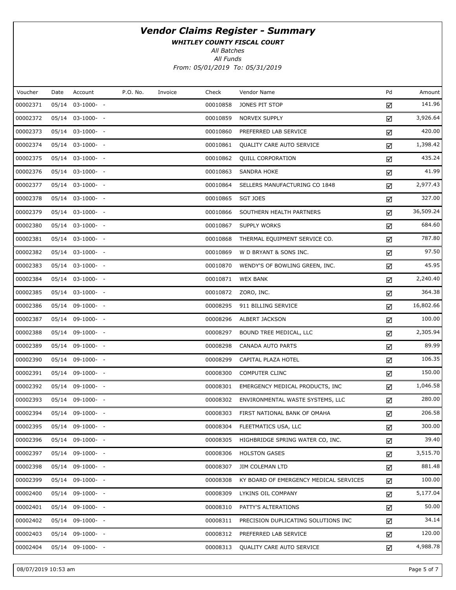WHITLEY COUNTY FISCAL COURT

All Batches

All Funds From: 05/01/2019 To: 05/31/2019

| Voucher  | Date  | Account          | P.O. No. | Invoice | Check    | Vendor Name                            | Pd | Amount    |
|----------|-------|------------------|----------|---------|----------|----------------------------------------|----|-----------|
| 00002371 |       | 05/14 03-1000- - |          |         | 00010858 | JONES PIT STOP                         | ☑  | 141.96    |
| 00002372 |       | 05/14 03-1000- - |          |         | 00010859 | NORVEX SUPPLY                          | ☑  | 3,926.64  |
| 00002373 |       | 05/14 03-1000- - |          |         | 00010860 | PREFERRED LAB SERVICE                  | ☑  | 420.00    |
| 00002374 |       | 05/14 03-1000- - |          |         | 00010861 | QUALITY CARE AUTO SERVICE              | ☑  | 1,398.42  |
| 00002375 |       | 05/14 03-1000- - |          |         | 00010862 | <b>QUILL CORPORATION</b>               | ☑  | 435.24    |
| 00002376 |       | 05/14 03-1000- - |          |         | 00010863 | <b>SANDRA HOKE</b>                     | ☑  | 41.99     |
| 00002377 |       | 05/14 03-1000- - |          |         | 00010864 | SELLERS MANUFACTURING CO 1848          | ☑  | 2,977.43  |
| 00002378 |       | 05/14 03-1000- - |          |         | 00010865 | <b>SGT JOES</b>                        | ☑  | 327.00    |
| 00002379 |       | 05/14 03-1000- - |          |         | 00010866 | SOUTHERN HEALTH PARTNERS               | ☑  | 36,509.24 |
| 00002380 |       | 05/14 03-1000- - |          |         | 00010867 | <b>SUPPLY WORKS</b>                    | ☑  | 684.60    |
| 00002381 |       | 05/14 03-1000- - |          |         | 00010868 | THERMAL EQUIPMENT SERVICE CO.          | ☑  | 787.80    |
| 00002382 |       | 05/14 03-1000- - |          |         | 00010869 | W D BRYANT & SONS INC.                 | ☑  | 97.50     |
| 00002383 |       | 05/14 03-1000- - |          |         | 00010870 | WENDY'S OF BOWLING GREEN, INC.         | ☑  | 45.95     |
| 00002384 |       | 05/14 03-1000- - |          |         | 00010871 | <b>WEX BANK</b>                        | ☑  | 2,240.40  |
| 00002385 |       | 05/14 03-1000- - |          |         | 00010872 | ZORO, INC.                             | ☑  | 364.38    |
| 00002386 |       | 05/14 09-1000- - |          |         | 00008295 | 911 BILLING SERVICE                    | ☑  | 16,802.66 |
| 00002387 |       | 05/14 09-1000- - |          |         | 00008296 | ALBERT JACKSON                         | ☑  | 100.00    |
| 00002388 |       | 05/14 09-1000- - |          |         | 00008297 | BOUND TREE MEDICAL, LLC                | ☑  | 2,305.94  |
| 00002389 |       | 05/14 09-1000- - |          |         | 00008298 | CANADA AUTO PARTS                      | ☑  | 89.99     |
| 00002390 |       | 05/14 09-1000- - |          |         | 00008299 | CAPITAL PLAZA HOTEL                    | ☑  | 106.35    |
| 00002391 |       | 05/14 09-1000- - |          |         | 00008300 | <b>COMPUTER CLINC</b>                  | ☑  | 150.00    |
| 00002392 |       | 05/14 09-1000- - |          |         | 00008301 | EMERGENCY MEDICAL PRODUCTS, INC        | ☑  | 1,046.58  |
| 00002393 |       | 05/14 09-1000- - |          |         | 00008302 | ENVIRONMENTAL WASTE SYSTEMS, LLC       | ☑  | 280.00    |
| 00002394 |       | 05/14 09-1000- - |          |         | 00008303 | FIRST NATIONAL BANK OF OMAHA           | ☑  | 206.58    |
| 00002395 |       | 05/14 09-1000- - |          |         | 00008304 | FLEETMATICS USA, LLC                   | ☑  | 300.00    |
| 00002396 | 05/14 | $09-1000- -$     |          |         | 00008305 | HIGHBRIDGE SPRING WATER CO, INC.       | ☑  | 39.40     |
| 00002397 |       | 05/14 09-1000- - |          |         | 00008306 | <b>HOLSTON GASES</b>                   | ☑  | 3,515.70  |
| 00002398 | 05/14 | 09-1000- -       |          |         | 00008307 | <b>JIM COLEMAN LTD</b>                 | ☑  | 881.48    |
| 00002399 | 05/14 | 09-1000- -       |          |         | 00008308 | KY BOARD OF EMERGENCY MEDICAL SERVICES | ☑  | 100.00    |
| 00002400 | 05/14 | $09-1000- -$     |          |         | 00008309 | LYKINS OIL COMPANY                     | ☑  | 5,177.04  |
| 00002401 |       | 05/14 09-1000- - |          |         | 00008310 | PATTY'S ALTERATIONS                    | ☑  | 50.00     |
| 00002402 | 05/14 | $09-1000- -$     |          |         | 00008311 | PRECISION DUPLICATING SOLUTIONS INC    | ☑  | 34.14     |
| 00002403 |       | 05/14 09-1000- - |          |         | 00008312 | PREFERRED LAB SERVICE                  | ☑  | 120.00    |
| 00002404 |       | 05/14 09-1000- - |          |         | 00008313 | QUALITY CARE AUTO SERVICE              | ☑  | 4,988.78  |

08/07/2019 10:53 am Page 5 of 7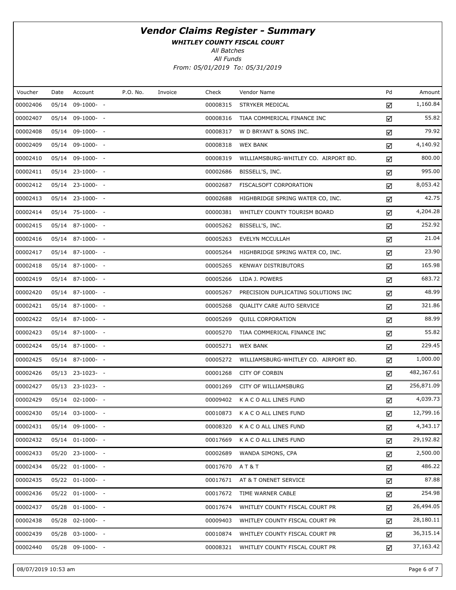WHITLEY COUNTY FISCAL COURT

All Batches

All Funds From: 05/01/2019 To: 05/31/2019

| Voucher  | Date  | Account              | P.O. No. | Invoice | Check    | Vendor Name                          | Pd | Amount     |
|----------|-------|----------------------|----------|---------|----------|--------------------------------------|----|------------|
| 00002406 | 05/14 | $09-1000- -$         |          |         | 00008315 | STRYKER MEDICAL                      | ☑  | 1,160.84   |
| 00002407 |       | 05/14 09-1000- -     |          |         | 00008316 | TIAA COMMERICAL FINANCE INC          | ☑  | 55.82      |
| 00002408 |       | 05/14 09-1000- -     |          |         | 00008317 | W D BRYANT & SONS INC.               | ☑  | 79.92      |
| 00002409 |       | 05/14 09-1000- -     |          |         | 00008318 | <b>WEX BANK</b>                      | ☑  | 4,140.92   |
| 00002410 |       | 05/14 09-1000- -     |          |         | 00008319 | WILLIAMSBURG-WHITLEY CO. AIRPORT BD. | ☑  | 800.00     |
| 00002411 |       | 05/14 23-1000- -     |          |         | 00002686 | BISSELL'S, INC.                      | ☑  | 995.00     |
| 00002412 |       | 05/14 23-1000- -     |          |         | 00002687 | FISCALSOFT CORPORATION               | ☑  | 8,053.42   |
| 00002413 |       | 05/14 23-1000- -     |          |         | 00002688 | HIGHBRIDGE SPRING WATER CO, INC.     | ☑  | 42.75      |
| 00002414 |       | 05/14 75-1000- -     |          |         | 00000381 | WHITLEY COUNTY TOURISM BOARD         | ☑  | 4,204.28   |
| 00002415 |       | 05/14 87-1000- -     |          |         | 00005262 | BISSELL'S, INC.                      | ☑  | 252.92     |
| 00002416 |       | 05/14 87-1000- -     |          |         | 00005263 | EVELYN MCCULLAH                      | ☑  | 21.04      |
| 00002417 |       | 05/14 87-1000- -     |          |         | 00005264 | HIGHBRIDGE SPRING WATER CO, INC.     | ☑  | 23.90      |
| 00002418 |       | 05/14 87-1000- -     |          |         | 00005265 | <b>KENWAY DISTRIBUTORS</b>           | ☑  | 165.98     |
| 00002419 |       | 05/14 87-1000- -     |          |         | 00005266 | LIDA J. POWERS                       | ☑  | 683.72     |
| 00002420 |       | 05/14 87-1000- -     |          |         | 00005267 | PRECISION DUPLICATING SOLUTIONS INC  | ☑  | 48.99      |
| 00002421 |       | 05/14 87-1000- -     |          |         | 00005268 | QUALITY CARE AUTO SERVICE            | ☑  | 321.86     |
| 00002422 |       | 05/14 87-1000- -     |          |         | 00005269 | <b>QUILL CORPORATION</b>             | ☑  | 88.99      |
| 00002423 |       | 05/14 87-1000- -     |          |         | 00005270 | TIAA COMMERICAL FINANCE INC          | ☑  | 55.82      |
| 00002424 |       | 05/14 87-1000- -     |          |         | 00005271 | <b>WEX BANK</b>                      | ☑  | 229.45     |
| 00002425 |       | 05/14 87-1000- -     |          |         | 00005272 | WILLIAMSBURG-WHITLEY CO. AIRPORT BD. | ☑  | 1,000.00   |
| 00002426 |       | 05/13 23-1023- -     |          |         | 00001268 | <b>CITY OF CORBIN</b>                | ☑  | 482,367.61 |
| 00002427 |       | 05/13 23-1023- -     |          |         | 00001269 | CITY OF WILLIAMSBURG                 | ☑  | 256,871.09 |
| 00002429 |       | 05/14 02-1000- -     |          |         | 00009402 | K A C O ALL LINES FUND               | ☑  | 4,039.73   |
| 00002430 |       | 05/14 03-1000- -     |          |         | 00010873 | K A C O ALL LINES FUND               | ☑  | 12,799.16  |
| 00002431 |       | 05/14 09-1000- -     |          |         | 00008320 | K A C O ALL LINES FUND               | ☑  | 4,343.17   |
| 00002432 |       | 05/14 01-1000- -     |          |         | 00017669 | K A C O ALL LINES FUND               | ☑  | 29,192.82  |
| 00002433 |       | 05/20 23-1000- -     |          |         | 00002689 | WANDA SIMONS, CPA                    | ☑  | 2,500.00   |
| 00002434 |       | $05/22$ $01-1000-$ - |          |         | 00017670 | AT&T                                 | ☑  | 486.22     |
| 00002435 |       | 05/22 01-1000- -     |          |         | 00017671 | AT & T ONENET SERVICE                | ☑  | 87.88      |
| 00002436 |       | $05/22$ $01-1000-$ - |          |         | 00017672 | TIME WARNER CABLE                    | ☑  | 254.98     |
| 00002437 |       | 05/28 01-1000- -     |          |         | 00017674 | WHITLEY COUNTY FISCAL COURT PR       | ☑  | 26,494.05  |
| 00002438 |       | 05/28 02-1000- -     |          |         | 00009403 | WHITLEY COUNTY FISCAL COURT PR       | ☑  | 28,180.11  |
| 00002439 |       | 05/28 03-1000- -     |          |         | 00010874 | WHITLEY COUNTY FISCAL COURT PR       | ☑  | 36,315.14  |
| 00002440 |       | 05/28 09-1000- -     |          |         | 00008321 | WHITLEY COUNTY FISCAL COURT PR       | ☑  | 37,163.42  |

08/07/2019 10:53 am Page 6 of 7